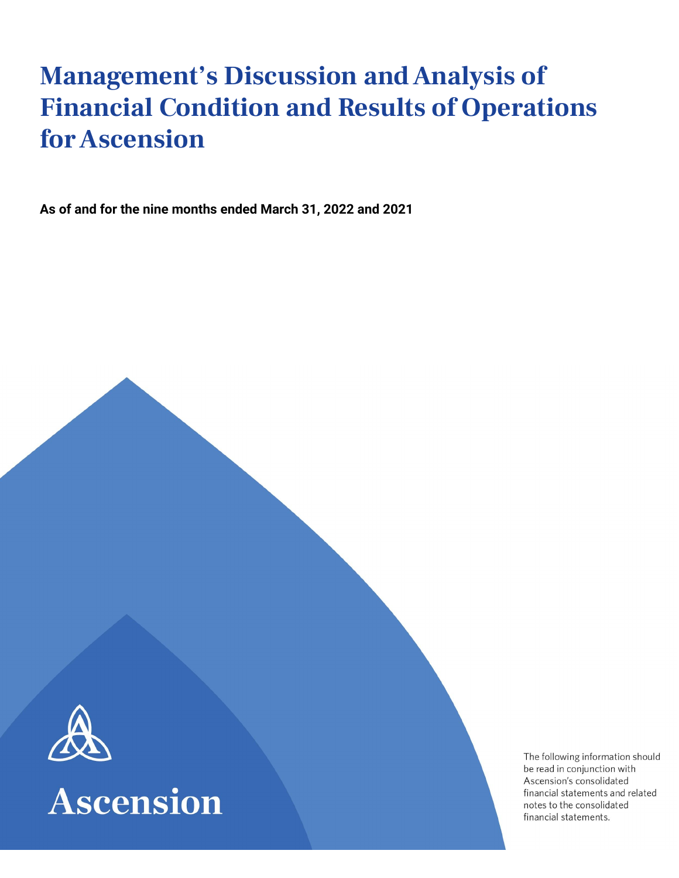# **Management's Discussion andAnalysis of Financial Condition and Results of Operations forAscension**

**As of and for the nine months ended March 31, 2022 and 2021**





The following information should be read in conjunction with Ascension's consolidated financial statements and related notes to the consolidated financial statements.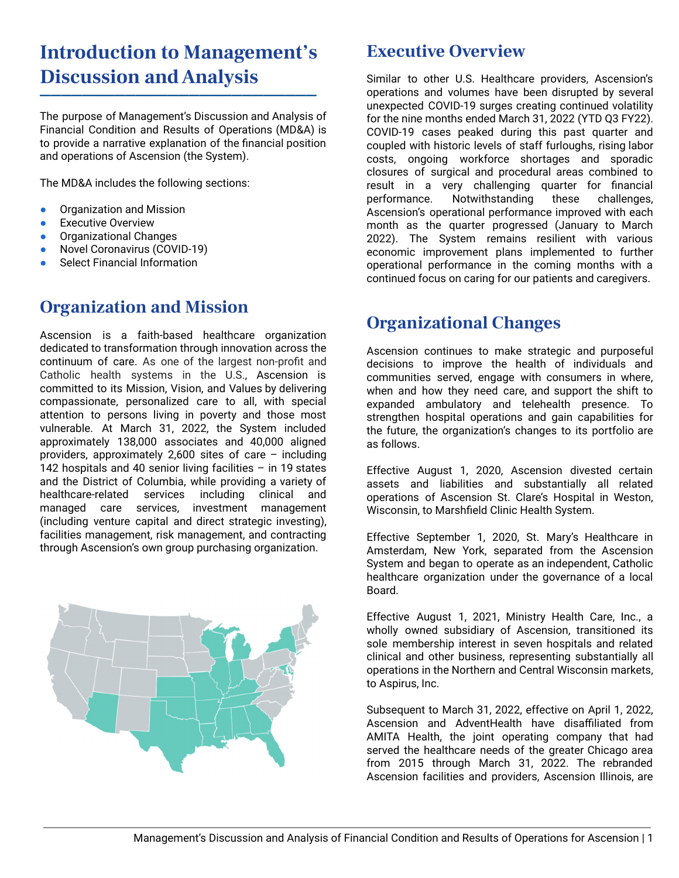## **Introduction to Management's Discussion andAnalysis**

⎻⎻⎻⎻⎻⎻⎻⎻⎻⎻⎻⎻⎻⎻⎻⎻⎻⎻⎻⎻⎻⎻⎻⎻⎻⎻

The purpose of Management's Discussion and Analysis of Financial Condition and Results of Operations (MD&A) is to provide a narrative explanation of the financial position and operations of Ascension (the System).

The MD&A includes the following sections:

- Organization and Mission
- **•** Executive Overview
- **•** Organizational Changes
- Novel Coronavirus (COVID-19)
- **Select Financial Information**

### **Organization and Mission**

Ascension is a faith-based healthcare organization dedicated to transformation through innovation across the continuum of care. As one of the largest non-profit and Catholic health systems in the U.S., Ascension is committed to its Mission, Vision, and Values by delivering compassionate, personalized care to all, with special attention to persons living in poverty and those most vulnerable. At March 31, 2022, the System included approximately 138,000 associates and 40,000 aligned providers, approximately 2,600 sites of care – including 142 hospitals and 40 senior living facilities – in 19 states and the District of Columbia, while providing a variety of healthcare-related services including clinical and managed care services, investment management (including venture capital and direct strategic investing), facilities management, risk management, and contracting through Ascension's own group purchasing organization.



### **Executive Overview**

Similar to other U.S. Healthcare providers, Ascension's operations and volumes have been disrupted by several unexpected COVID-19 surges creating continued volatility for the nine months ended March 31, 2022 (YTD Q3 FY22). COVID-19 cases peaked during this past quarter and coupled with historic levels of staff furloughs, rising labor costs, ongoing workforce shortages and sporadic closures of surgical and procedural areas combined to result in a very challenging quarter for financial performance. Notwithstanding these challenges, Ascension's operational performance improved with each month as the quarter progressed (January to March 2022). The System remains resilient with various economic improvement plans implemented to further operational performance in the coming months with a continued focus on caring for our patients and caregivers.

### **Organizational Changes**

Ascension continues to make strategic and purposeful decisions to improve the health of individuals and communities served, engage with consumers in where, when and how they need care, and support the shift to expanded ambulatory and telehealth presence. To strengthen hospital operations and gain capabilities for the future, the organization's changes to its portfolio are as follows.

Effective August 1, 2020, Ascension divested certain assets and liabilities and substantially all related operations of Ascension St. Clare's Hospital in Weston, Wisconsin, to Marshfield Clinic Health System.

Effective September 1, 2020, St. Mary's Healthcare in Amsterdam, New York, separated from the Ascension System and began to operate as an independent, Catholic healthcare organization under the governance of a local Board.

Effective August 1, 2021, Ministry Health Care, Inc., a wholly owned subsidiary of Ascension, transitioned its sole membership interest in seven hospitals and related clinical and other business, representing substantially all operations in the Northern and Central Wisconsin markets, to Aspirus, Inc.

Subsequent to March 31, 2022, effective on April 1, 2022, Ascension and AdventHealth have disaffiliated from AMITA Health, the joint operating company that had served the healthcare needs of the greater Chicago area from 2015 through March 31, 2022. The rebranded Ascension facilities and providers, Ascension Illinois, are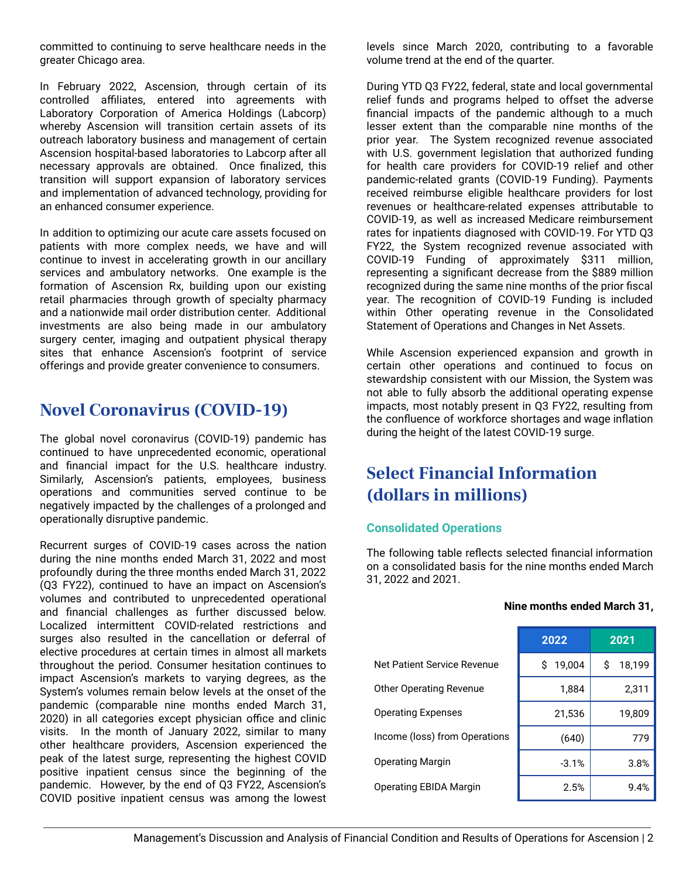committed to continuing to serve healthcare needs in the greater Chicago area.

In February 2022, Ascension, through certain of its controlled affiliates, entered into agreements with Laboratory Corporation of America Holdings (Labcorp) whereby Ascension will transition certain assets of its outreach laboratory business and management of certain Ascension hospital-based laboratories to Labcorp after all necessary approvals are obtained. Once finalized, this transition will support expansion of laboratory services and implementation of advanced technology, providing for an enhanced consumer experience.

In addition to optimizing our acute care assets focused on patients with more complex needs, we have and will continue to invest in accelerating growth in our ancillary services and ambulatory networks. One example is the formation of Ascension Rx, building upon our existing retail pharmacies through growth of specialty pharmacy and a nationwide mail order distribution center. Additional investments are also being made in our ambulatory surgery center, imaging and outpatient physical therapy sites that enhance Ascension's footprint of service offerings and provide greater convenience to consumers.

### **Novel Coronavirus (COVID-19)**

The global novel coronavirus (COVID-19) pandemic has continued to have unprecedented economic, operational and financial impact for the U.S. healthcare industry. Similarly, Ascension's patients, employees, business operations and communities served continue to be negatively impacted by the challenges of a prolonged and operationally disruptive pandemic.

Recurrent surges of COVID-19 cases across the nation during the nine months ended March 31, 2022 and most profoundly during the three months ended March 31, 2022 (Q3 FY22), continued to have an impact on Ascension's volumes and contributed to unprecedented operational and financial challenges as further discussed below. Localized intermittent COVID-related restrictions and surges also resulted in the cancellation or deferral of elective procedures at certain times in almost all markets throughout the period. Consumer hesitation continues to impact Ascension's markets to varying degrees, as the System's volumes remain below levels at the onset of the pandemic (comparable nine months ended March 31, 2020) in all categories except physician office and clinic visits. In the month of January 2022, similar to many other healthcare providers, Ascension experienced the peak of the latest surge, representing the highest COVID positive inpatient census since the beginning of the pandemic. However, by the end of Q3 FY22, Ascension's COVID positive inpatient census was among the lowest

levels since March 2020, contributing to a favorable volume trend at the end of the quarter.

During YTD Q3 FY22, federal, state and local governmental relief funds and programs helped to offset the adverse financial impacts of the pandemic although to a much lesser extent than the comparable nine months of the prior year. The System recognized revenue associated with U.S. government legislation that authorized funding for health care providers for COVID-19 relief and other pandemic-related grants (COVID-19 Funding). Payments received reimburse eligible healthcare providers for lost revenues or healthcare-related expenses attributable to COVID-19, as well as increased Medicare reimbursement rates for inpatients diagnosed with COVID-19. For YTD Q3 FY22, the System recognized revenue associated with COVID-19 Funding of approximately \$311 million, representing a significant decrease from the \$889 million recognized during the same nine months of the prior fiscal year. The recognition of COVID-19 Funding is included within Other operating revenue in the Consolidated Statement of Operations and Changes in Net Assets.

While Ascension experienced expansion and growth in certain other operations and continued to focus on stewardship consistent with our Mission, the System was not able to fully absorb the additional operating expense impacts, most notably present in Q3 FY22, resulting from the confluence of workforce shortages and wage inflation during the height of the latest COVID-19 surge.

### **Select Financial Information (dollars in millions)**

#### **Consolidated Operations**

The following table reflects selected financial information on a consolidated basis for the nine months ended March 31, 2022 and 2021.

|                                | 2022         | 2021        |
|--------------------------------|--------------|-------------|
| Net Patient Service Revenue    | 19,004<br>Ŝ. | 18,199<br>Ŝ |
| <b>Other Operating Revenue</b> | 1,884        | 2,311       |
| <b>Operating Expenses</b>      | 21,536       | 19,809      |
| Income (loss) from Operations  | (640)        | 779         |
| <b>Operating Margin</b>        | $-3.1%$      | 3.8%        |
| Operating EBIDA Margin         | 2.5%         | 9.4%        |

#### **Nine months ended March 31,**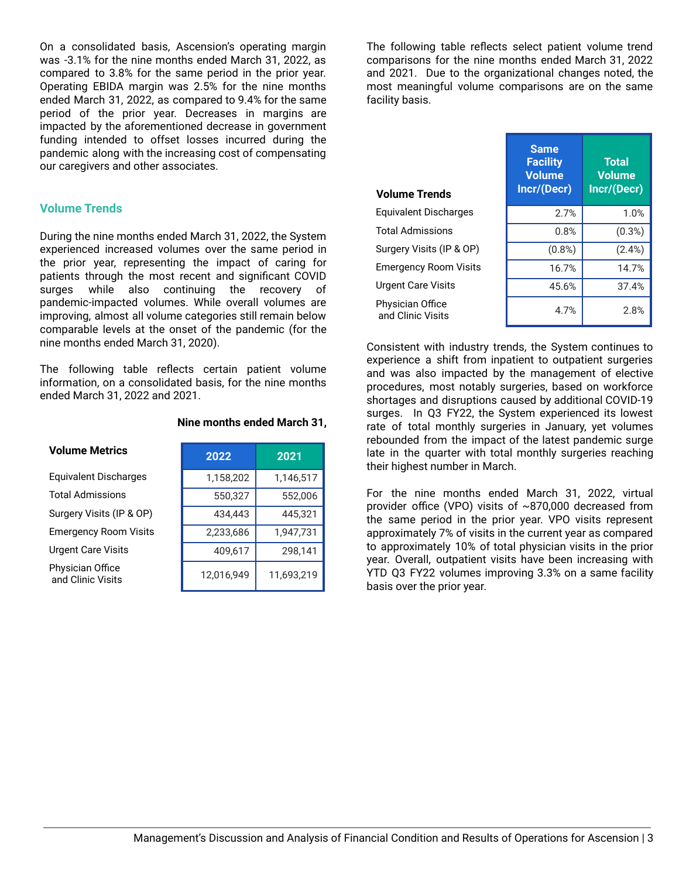On a consolidated basis, Ascension's operating margin was -3.1% for the nine months ended March 31, 2022, as compared to 3.8% for the same period in the prior year. Operating EBIDA margin was 2.5% for the nine months ended March 31, 2022, as compared to 9.4% for the same period of the prior year. Decreases in margins are impacted by the aforementioned decrease in government funding intended to offset losses incurred during the pandemic along with the increasing cost of compensating our caregivers and other associates.

#### **Volume Trends**

During the nine months ended March 31, 2022, the System experienced increased volumes over the same period in the prior year, representing the impact of caring for patients through the most recent and significant COVID surges while also continuing the recovery of pandemic-impacted volumes. While overall volumes are improving, almost all volume categories still remain below comparable levels at the onset of the pandemic (for the nine months ended March 31, 2020).

The following table reflects certain patient volume information, on a consolidated basis, for the nine months ended March 31, 2022 and 2021.

| <b>Volume Metrics</b>                 | 2022       | 2021       |
|---------------------------------------|------------|------------|
| <b>Equivalent Discharges</b>          | 1,158,202  | 1,146,517  |
| <b>Total Admissions</b>               | 550,327    | 552,006    |
| Surgery Visits (IP & OP)              | 434,443    | 445,321    |
| <b>Emergency Room Visits</b>          | 2,233,686  | 1,947,731  |
| <b>Urgent Care Visits</b>             | 409,617    | 298,141    |
| Physician Office<br>and Clinic Visits | 12,016,949 | 11,693,219 |

#### **Nine months ended March 31,**

The following table reflects select patient volume trend comparisons for the nine months ended March 31, 2022 and 2021. Due to the organizational changes noted, the most meaningful volume comparisons are on the same facility basis.

| <b>Volume Trends</b>                  | <b>Same</b><br><b>Facility</b><br><b>Volume</b><br>Incr/(Decr) | <b>Total</b><br><b>Volume</b><br>Incr/(Decr) |
|---------------------------------------|----------------------------------------------------------------|----------------------------------------------|
| Equivalent Discharges                 | 2.7%                                                           | 1.0%                                         |
| <b>Total Admissions</b>               | 0.8%                                                           | (0.3%)                                       |
| Surgery Visits (IP & OP)              | $(0.8\%)$                                                      | $(2.4\%)$                                    |
| <b>Emergency Room Visits</b>          | 16.7%                                                          | 14.7%                                        |
| <b>Urgent Care Visits</b>             | 45.6%                                                          | 37.4%                                        |
| Physician Office<br>and Clinic Visits | 4.7%                                                           | 2.8%                                         |

Consistent with industry trends, the System continues to experience a shift from inpatient to outpatient surgeries and was also impacted by the management of elective procedures, most notably surgeries, based on workforce shortages and disruptions caused by additional COVID-19 surges. In Q3 FY22, the System experienced its lowest rate of total monthly surgeries in January, yet volumes rebounded from the impact of the latest pandemic surge late in the quarter with total monthly surgeries reaching their highest number in March.

For the nine months ended March 31, 2022, virtual provider office (VPO) visits of ~870,000 decreased from the same period in the prior year. VPO visits represent approximately 7% of visits in the current year as compared to approximately 10% of total physician visits in the prior year. Overall, outpatient visits have been increasing with YTD Q3 FY22 volumes improving 3.3% on a same facility basis over the prior year.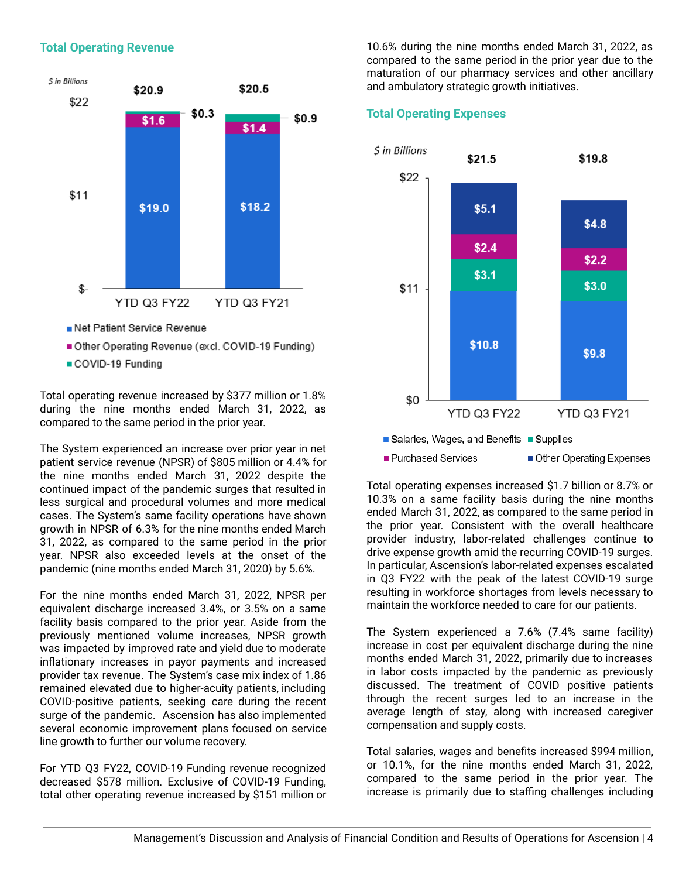#### **Total Operating Revenue**



- 
- Other Operating Revenue (excl. COVID-19 Funding)
- COVID-19 Funding

Total operating revenue increased by \$377 million or 1.8% during the nine months ended March 31, 2022, as compared to the same period in the prior year.

The System experienced an increase over prior year in net patient service revenue (NPSR) of \$805 million or 4.4% for the nine months ended March 31, 2022 despite the continued impact of the pandemic surges that resulted in less surgical and procedural volumes and more medical cases. The System's same facility operations have shown growth in NPSR of 6.3% for the nine months ended March 31, 2022, as compared to the same period in the prior year. NPSR also exceeded levels at the onset of the pandemic (nine months ended March 31, 2020) by 5.6%.

For the nine months ended March 31, 2022, NPSR per equivalent discharge increased 3.4%, or 3.5% on a same facility basis compared to the prior year. Aside from the previously mentioned volume increases, NPSR growth was impacted by improved rate and yield due to moderate inflationary increases in payor payments and increased provider tax revenue. The System's case mix index of 1.86 remained elevated due to higher-acuity patients, including COVID-positive patients, seeking care during the recent surge of the pandemic. Ascension has also implemented several economic improvement plans focused on service line growth to further our volume recovery.

For YTD Q3 FY22, COVID-19 Funding revenue recognized decreased \$578 million. Exclusive of COVID-19 Funding, total other operating revenue increased by \$151 million or 10.6% during the nine months ended March 31, 2022, as compared to the same period in the prior year due to the maturation of our pharmacy services and other ancillary and ambulatory strategic growth initiatives.

#### **Total Operating Expenses**



Total operating expenses increased \$1.7 billion or 8.7% or 10.3% on a same facility basis during the nine months ended March 31, 2022, as compared to the same period in the prior year. Consistent with the overall healthcare provider industry, labor-related challenges continue to drive expense growth amid the recurring COVID-19 surges. In particular, Ascension's labor-related expenses escalated in Q3 FY22 with the peak of the latest COVID-19 surge resulting in workforce shortages from levels necessary to maintain the workforce needed to care for our patients.

The System experienced a 7.6% (7.4% same facility) increase in cost per equivalent discharge during the nine months ended March 31, 2022, primarily due to increases in labor costs impacted by the pandemic as previously discussed. The treatment of COVID positive patients through the recent surges led to an increase in the average length of stay, along with increased caregiver compensation and supply costs.

Total salaries, wages and benefits increased \$994 million, or 10.1%, for the nine months ended March 31, 2022, compared to the same period in the prior year. The increase is primarily due to staffing challenges including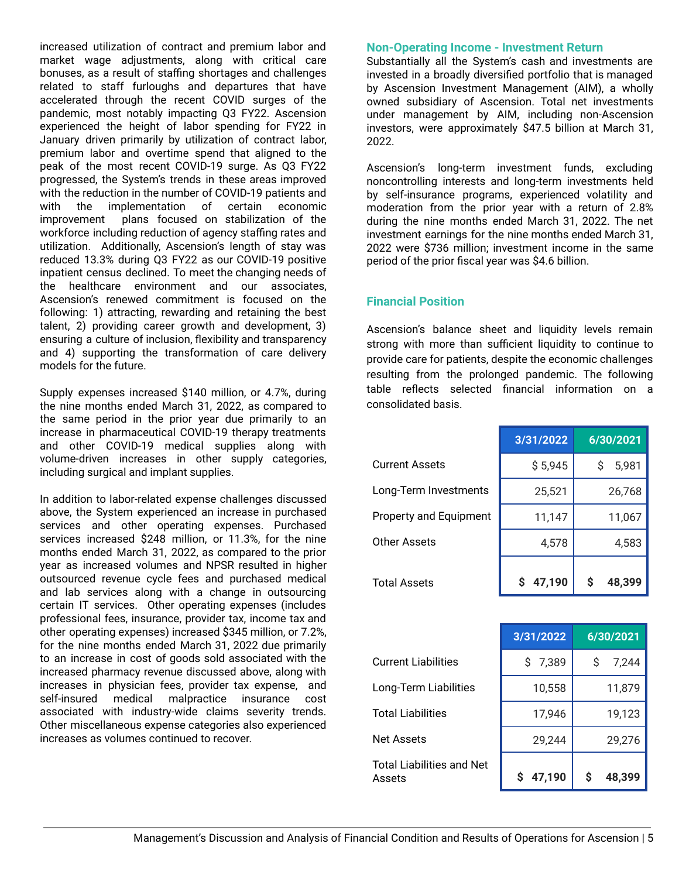increased utilization of contract and premium labor and market wage adjustments, along with critical care bonuses, as a result of staffing shortages and challenges related to staff furloughs and departures that have accelerated through the recent COVID surges of the pandemic, most notably impacting Q3 FY22. Ascension experienced the height of labor spending for FY22 in January driven primarily by utilization of contract labor, premium labor and overtime spend that aligned to the peak of the most recent COVID-19 surge. As Q3 FY22 progressed, the System's trends in these areas improved with the reduction in the number of COVID-19 patients and with the implementation of certain economic improvement plans focused on stabilization of the workforce including reduction of agency staffing rates and utilization. Additionally, Ascension's length of stay was reduced 13.3% during Q3 FY22 as our COVID-19 positive inpatient census declined. To meet the changing needs of the healthcare environment and our associates, Ascension's renewed commitment is focused on the following: 1) attracting, rewarding and retaining the best talent, 2) providing career growth and development, 3) ensuring a culture of inclusion, flexibility and transparency and 4) supporting the transformation of care delivery models for the future.

Supply expenses increased \$140 million, or 4.7%, during the nine months ended March 31, 2022, as compared to the same period in the prior year due primarily to an increase in pharmaceutical COVID-19 therapy treatments and other COVID-19 medical supplies along with volume-driven increases in other supply categories, including surgical and implant supplies.

In addition to labor-related expense challenges discussed above, the System experienced an increase in purchased services and other operating expenses. Purchased services increased \$248 million, or 11.3%, for the nine months ended March 31, 2022, as compared to the prior year as increased volumes and NPSR resulted in higher outsourced revenue cycle fees and purchased medical and lab services along with a change in outsourcing certain IT services. Other operating expenses (includes professional fees, insurance, provider tax, income tax and other operating expenses) increased \$345 million, or 7.2%, for the nine months ended March 31, 2022 due primarily to an increase in cost of goods sold associated with the increased pharmacy revenue discussed above, along with increases in physician fees, provider tax expense, and self-insured medical malpractice insurance cost associated with industry-wide claims severity trends. Other miscellaneous expense categories also experienced increases as volumes continued to recover.

#### **Non-Operating Income - Investment Return**

Substantially all the System's cash and investments are invested in a broadly diversified portfolio that is managed by Ascension Investment Management (AIM), a wholly owned subsidiary of Ascension. Total net investments under management by AIM, including non-Ascension investors, were approximately \$47.5 billion at March 31, 2022.

Ascension's long-term investment funds, excluding noncontrolling interests and long-term investments held by self-insurance programs, experienced volatility and moderation from the prior year with a return of 2.8% during the nine months ended March 31, 2022. The net investment earnings for the nine months ended March 31, 2022 were \$736 million; investment income in the same period of the prior fiscal year was \$4.6 billion.

#### **Financial Position**

Ascension's balance sheet and liquidity levels remain strong with more than sufficient liquidity to continue to provide care for patients, despite the economic challenges resulting from the prolonged pandemic. The following table reflects selected financial information on a consolidated basis.

|                        | 3/31/2022 | 6/30/2021   |
|------------------------|-----------|-------------|
| <b>Current Assets</b>  | \$5,945   | S<br>5,981  |
| Long-Term Investments  | 25,521    | 26,768      |
| Property and Equipment | 11,147    | 11,067      |
| Other Assets           | 4,578     | 4,583       |
| <b>Total Assets</b>    | \$47,190  | S<br>48,399 |

|                                            | 3/31/2022 | 6/30/2021  |
|--------------------------------------------|-----------|------------|
| <b>Current Liabilities</b>                 | \$7,389   | S<br>7,244 |
| Long-Term Liabilities                      | 10,558    | 11,879     |
| <b>Total Liabilities</b>                   | 17,946    | 19,123     |
| <b>Net Assets</b>                          | 29,244    | 29,276     |
| <b>Total Liabilities and Net</b><br>Assets | 47,190    | 48,399     |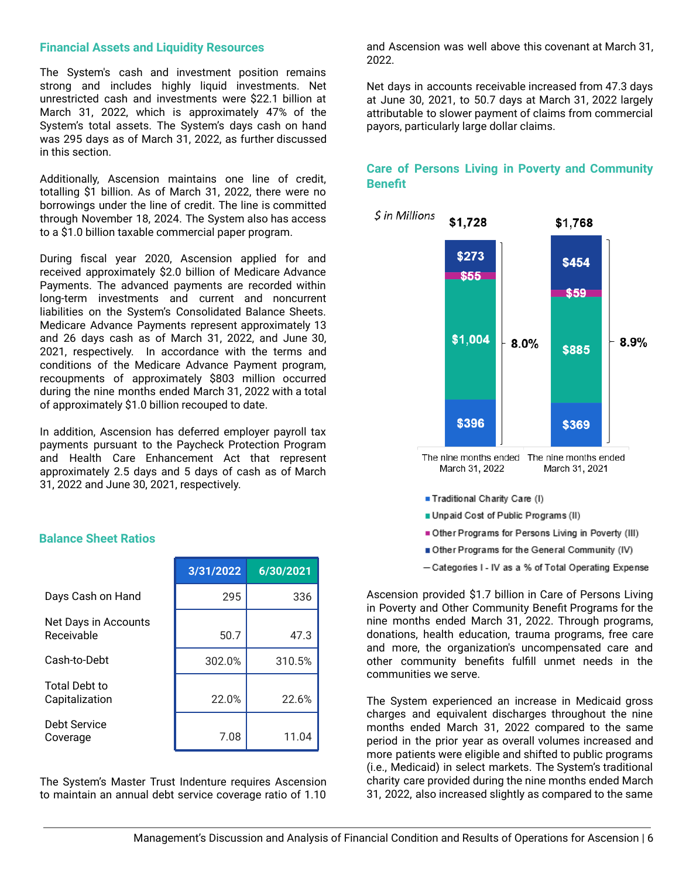#### **Financial Assets and Liquidity Resources**

The System's cash and investment position remains strong and includes highly liquid investments. Net unrestricted cash and investments were \$22.1 billion at March 31, 2022, which is approximately 47% of the System's total assets. The System's days cash on hand was 295 days as of March 31, 2022, as further discussed in this section.

Additionally, Ascension maintains one line of credit, totalling \$1 billion. As of March 31, 2022, there were no borrowings under the line of credit. The line is committed through November 18, 2024. The System also has access to a \$1.0 billion taxable commercial paper program.

During fiscal year 2020, Ascension applied for and received approximately \$2.0 billion of Medicare Advance Payments. The advanced payments are recorded within long-term investments and current and noncurrent liabilities on the System's Consolidated Balance Sheets. Medicare Advance Payments represent approximately 13 and 26 days cash as of March 31, 2022, and June 30, 2021, respectively. In accordance with the terms and conditions of the Medicare Advance Payment program, recoupments of approximately \$803 million occurred during the nine months ended March 31, 2022 with a total of approximately \$1.0 billion recouped to date.

In addition, Ascension has deferred employer payroll tax payments pursuant to the Paycheck Protection Program and Health Care Enhancement Act that represent approximately 2.5 days and 5 days of cash as of March 31, 2022 and June 30, 2021, respectively.

#### **Balance Sheet Ratios**

|                                    | 3/31/2022 | 6/30/2021 |
|------------------------------------|-----------|-----------|
| Days Cash on Hand                  | 295       | 336       |
| Net Days in Accounts<br>Receivable | 50.7      | 47.3      |
| Cash-to-Debt                       | 302.0%    | 310.5%    |
| Total Debt to<br>Capitalization    | 22.0%     | 22.6%     |
| Debt Service<br>Coverage           | 7.08      | 11.04     |

The System's Master Trust Indenture requires Ascension to maintain an annual debt service coverage ratio of 1.10

and Ascension was well above this covenant at March 31, 2022.

Net days in accounts receivable increased from 47.3 days at June 30, 2021, to 50.7 days at March 31, 2022 largely attributable to slower payment of claims from commercial payors, particularly large dollar claims.

#### **Care of Persons Living in Poverty and Community Benefit**



- 
- Other Programs for the General Community (IV)
- Categories I IV as a % of Total Operating Expense

Ascension provided \$1.7 billion in Care of Persons Living in Poverty and Other Community Benefit Programs for the nine months ended March 31, 2022. Through programs, donations, health education, trauma programs, free care and more, the organization's uncompensated care and other community benefits fulfill unmet needs in the communities we serve.

The System experienced an increase in Medicaid gross charges and equivalent discharges throughout the nine months ended March 31, 2022 compared to the same period in the prior year as overall volumes increased and more patients were eligible and shifted to public programs (i.e., Medicaid) in select markets. The System's traditional charity care provided during the nine months ended March 31, 2022, also increased slightly as compared to the same